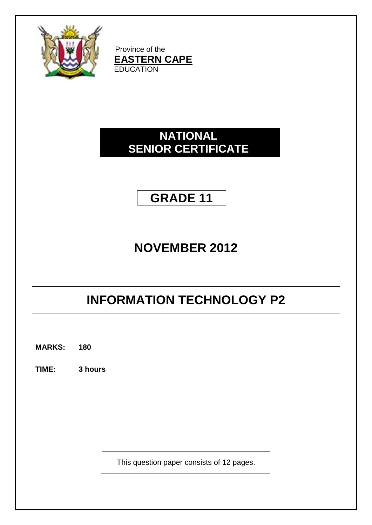

Province of the **EASTERN CAPE EDUCATION** 

# **NATIONAL SENIOR CERTIFICATE**

# **GRADE 11**

# **NOVEMBER 2012**

# **INFORMATION TECHNOLOGY P2**

**MARKS: 180**

**TIME: 3 hours**

This question paper consists of 12 pages.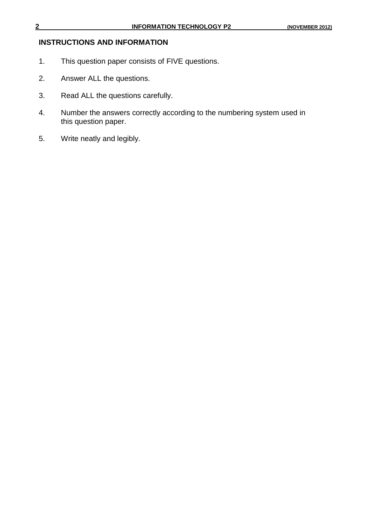## **INSTRUCTIONS AND INFORMATION**

- 1. This question paper consists of FIVE questions.
- 2. Answer ALL the questions.
- 3. Read ALL the questions carefully.
- 4. Number the answers correctly according to the numbering system used in this question paper.
- 5. Write neatly and legibly.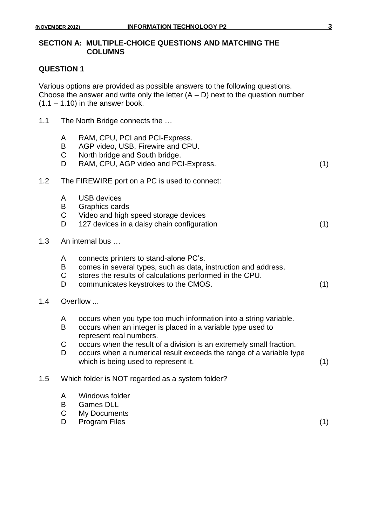#### **SECTION A: MULTIPLE-CHOICE QUESTIONS AND MATCHING THE COLUMNS**

#### **QUESTION 1**

Various options are provided as possible answers to the following questions. Choose the answer and write only the letter  $(A - D)$  next to the question number  $(1.1 - 1.10)$  in the answer book.

1.1 The North Bridge connects the ...

| $\mathsf{A}$ |  | RAM, CPU, PCI and PCI-Express. |
|--------------|--|--------------------------------|
|--------------|--|--------------------------------|

- B AGP video, USB, Firewire and CPU.
- C North bridge and South bridge.

|  | RAM, CPU, AGP video and PCI-Express. |  |
|--|--------------------------------------|--|
|--|--------------------------------------|--|

#### 1.2 The FIREWIRE port on a PC is used to connect:

- A USB devices
- B Graphics cards
- C Video and high speed storage devices
- D 127 devices in a daisy chain configuration (1)
- 1.3 An internal bus …
	- A connects printers to stand-alone PC"s.
	- B comes in several types, such as data, instruction and address.
	- C stores the results of calculations performed in the CPU.
	- D communicates keystrokes to the CMOS. (1)

#### 1.4 Overflow ...

- A occurs when you type too much information into a string variable.
- B occurs when an integer is placed in a variable type used to represent real numbers.
- C occurs when the result of a division is an extremely small fraction.
- D occurs when a numerical result exceeds the range of a variable type which is being used to represent it. (1)

#### 1.5 Which folder is NOT regarded as a system folder?

- A Windows folder
- B Games DLL
- C My Documents
- D Program Files (1)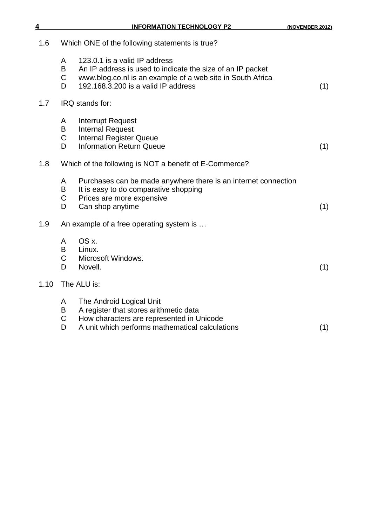| 4    |                             | <b>INFORMATION TECHNOLOGY P2</b>                                                                                                                                                                 | (NOVEMBER 2012) |
|------|-----------------------------|--------------------------------------------------------------------------------------------------------------------------------------------------------------------------------------------------|-----------------|
| 1.6  |                             | Which ONE of the following statements is true?                                                                                                                                                   |                 |
|      | A<br>B<br>$\mathsf{C}$<br>D | 123.0.1 is a valid IP address<br>An IP address is used to indicate the size of an IP packet<br>www.blog.co.nl is an example of a web site in South Africa<br>192.168.3.200 is a valid IP address | (1)             |
| 1.7  |                             | IRQ stands for:                                                                                                                                                                                  |                 |
|      | A<br>B<br>$\mathsf C$<br>D  | <b>Interrupt Request</b><br><b>Internal Request</b><br><b>Internal Register Queue</b><br><b>Information Return Queue</b>                                                                         | (1)             |
| 1.8  |                             | Which of the following is NOT a benefit of E-Commerce?                                                                                                                                           |                 |
|      | A<br>B<br>$\mathsf{C}$<br>D | Purchases can be made anywhere there is an internet connection<br>It is easy to do comparative shopping<br>Prices are more expensive<br>Can shop anytime                                         | (1)             |
| 1.9  |                             | An example of a free operating system is                                                                                                                                                         |                 |
|      | A<br>B<br>$\mathsf C$<br>D  | OS x.<br>Linux.<br>Microsoft Windows.<br>Novell.                                                                                                                                                 | (1)             |
| 1.10 | The ALU is:                 |                                                                                                                                                                                                  |                 |
|      | A<br>B<br>$\mathsf C$<br>D  | The Android Logical Unit<br>A register that stores arithmetic data<br>How characters are represented in Unicode<br>A unit which performs mathematical calculations                               | (1)             |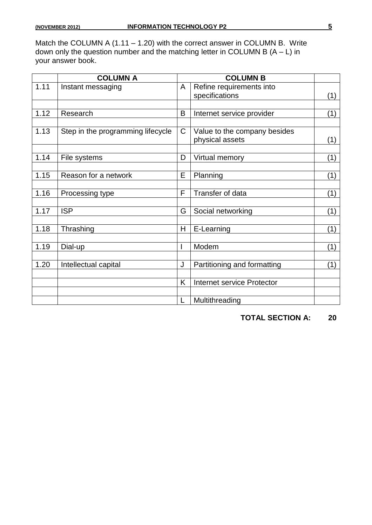Match the COLUMN A (1.11 – 1.20) with the correct answer in COLUMN B. Write down only the question number and the matching letter in COLUMN B (A – L) in your answer book.

|      | <b>COLUMN A</b>                   |                | <b>COLUMN B</b>              |     |
|------|-----------------------------------|----------------|------------------------------|-----|
| 1.11 | Instant messaging                 | A              | Refine requirements into     |     |
|      |                                   |                | specifications               | (1) |
|      |                                   |                |                              |     |
| 1.12 | Research                          | B              | Internet service provider    | (1) |
|      |                                   |                |                              |     |
| 1.13 | Step in the programming lifecycle | C              | Value to the company besides |     |
|      |                                   |                | physical assets              | (1) |
|      |                                   |                |                              |     |
| 1.14 | File systems                      | D              | Virtual memory               | (1) |
|      |                                   |                |                              |     |
| 1.15 | Reason for a network              | E              | Planning                     | (1) |
|      |                                   |                |                              |     |
| 1.16 | Processing type                   | F              | Transfer of data             | (1) |
|      |                                   |                |                              |     |
| 1.17 | <b>ISP</b>                        | G              | Social networking            | (1) |
| 1.18 | Thrashing                         | $\overline{H}$ | E-Learning                   | (1) |
|      |                                   |                |                              |     |
| 1.19 | Dial-up                           | I              | Modem                        | (1) |
|      |                                   |                |                              |     |
| 1.20 | Intellectual capital              | J              | Partitioning and formatting  | (1) |
|      |                                   |                |                              |     |
|      |                                   | K              | Internet service Protector   |     |
|      |                                   |                |                              |     |
|      |                                   | L              | Multithreading               |     |

**TOTAL SECTION A: 20**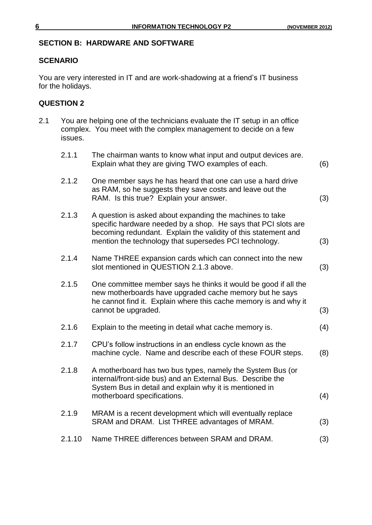#### **SECTION B: HARDWARE AND SOFTWARE**

#### **SCENARIO**

You are very interested in IT and are work-shadowing at a friend's IT business for the holidays.

#### **QUESTION 2**

| 2.1.1<br>The chairman wants to know what input and output devices are.<br>Explain what they are giving TWO examples of each.<br>2.1.2<br>One member says he has heard that one can use a hard drive<br>as RAM, so he suggests they save costs and leave out the<br>RAM. Is this true? Explain your answer.<br>2.1.3<br>A question is asked about expanding the machines to take<br>specific hardware needed by a shop. He says that PCI slots are<br>becoming redundant. Explain the validity of this statement and<br>mention the technology that supersedes PCI technology.<br>2.1.4<br>Name THREE expansion cards which can connect into the new<br>slot mentioned in QUESTION 2.1.3 above.<br>2.1.5<br>One committee member says he thinks it would be good if all the<br>new motherboards have upgraded cache memory but he says<br>he cannot find it. Explain where this cache memory is and why it<br>cannot be upgraded.<br>2.1.6<br>Explain to the meeting in detail what cache memory is.<br>2.1.7<br>CPU's follow instructions in an endless cycle known as the<br>machine cycle. Name and describe each of these FOUR steps.<br>2.1.8<br>A motherboard has two bus types, namely the System Bus (or<br>internal/front-side bus) and an External Bus. Describe the<br>System Bus in detail and explain why it is mentioned in<br>motherboard specifications.<br>2.1.9<br>MRAM is a recent development which will eventually replace<br>SRAM and DRAM. List THREE advantages of MRAM.<br>2.1.10<br>Name THREE differences between SRAM and DRAM. | 2.1 | issues. | You are helping one of the technicians evaluate the IT setup in an office<br>complex. You meet with the complex management to decide on a few |     |
|------------------------------------------------------------------------------------------------------------------------------------------------------------------------------------------------------------------------------------------------------------------------------------------------------------------------------------------------------------------------------------------------------------------------------------------------------------------------------------------------------------------------------------------------------------------------------------------------------------------------------------------------------------------------------------------------------------------------------------------------------------------------------------------------------------------------------------------------------------------------------------------------------------------------------------------------------------------------------------------------------------------------------------------------------------------------------------------------------------------------------------------------------------------------------------------------------------------------------------------------------------------------------------------------------------------------------------------------------------------------------------------------------------------------------------------------------------------------------------------------------------------------------------------------------------|-----|---------|-----------------------------------------------------------------------------------------------------------------------------------------------|-----|
|                                                                                                                                                                                                                                                                                                                                                                                                                                                                                                                                                                                                                                                                                                                                                                                                                                                                                                                                                                                                                                                                                                                                                                                                                                                                                                                                                                                                                                                                                                                                                            |     |         |                                                                                                                                               | (6) |
|                                                                                                                                                                                                                                                                                                                                                                                                                                                                                                                                                                                                                                                                                                                                                                                                                                                                                                                                                                                                                                                                                                                                                                                                                                                                                                                                                                                                                                                                                                                                                            |     |         |                                                                                                                                               | (3) |
|                                                                                                                                                                                                                                                                                                                                                                                                                                                                                                                                                                                                                                                                                                                                                                                                                                                                                                                                                                                                                                                                                                                                                                                                                                                                                                                                                                                                                                                                                                                                                            |     |         |                                                                                                                                               | (3) |
|                                                                                                                                                                                                                                                                                                                                                                                                                                                                                                                                                                                                                                                                                                                                                                                                                                                                                                                                                                                                                                                                                                                                                                                                                                                                                                                                                                                                                                                                                                                                                            |     |         |                                                                                                                                               | (3) |
|                                                                                                                                                                                                                                                                                                                                                                                                                                                                                                                                                                                                                                                                                                                                                                                                                                                                                                                                                                                                                                                                                                                                                                                                                                                                                                                                                                                                                                                                                                                                                            |     |         |                                                                                                                                               | (3) |
|                                                                                                                                                                                                                                                                                                                                                                                                                                                                                                                                                                                                                                                                                                                                                                                                                                                                                                                                                                                                                                                                                                                                                                                                                                                                                                                                                                                                                                                                                                                                                            |     |         |                                                                                                                                               | (4) |
|                                                                                                                                                                                                                                                                                                                                                                                                                                                                                                                                                                                                                                                                                                                                                                                                                                                                                                                                                                                                                                                                                                                                                                                                                                                                                                                                                                                                                                                                                                                                                            |     |         |                                                                                                                                               | (8) |
|                                                                                                                                                                                                                                                                                                                                                                                                                                                                                                                                                                                                                                                                                                                                                                                                                                                                                                                                                                                                                                                                                                                                                                                                                                                                                                                                                                                                                                                                                                                                                            |     |         |                                                                                                                                               | (4) |
|                                                                                                                                                                                                                                                                                                                                                                                                                                                                                                                                                                                                                                                                                                                                                                                                                                                                                                                                                                                                                                                                                                                                                                                                                                                                                                                                                                                                                                                                                                                                                            |     |         |                                                                                                                                               | (3) |
|                                                                                                                                                                                                                                                                                                                                                                                                                                                                                                                                                                                                                                                                                                                                                                                                                                                                                                                                                                                                                                                                                                                                                                                                                                                                                                                                                                                                                                                                                                                                                            |     |         |                                                                                                                                               | (3) |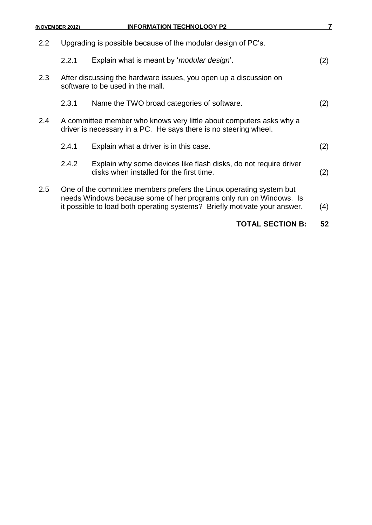- 2.2.1 Explain what is meant by "*modular design*". (2) 2.3 After discussing the hardware issues, you open up a discussion on software to be used in the mall. 2.3.1 Name the TWO broad categories of software. (2) 2.4 A committee member who knows very little about computers asks why a driver is necessary in a PC. He says there is no steering wheel. 2.4.1 Explain what a driver is in this case. (2) 2.4.2 Explain why some devices like flash disks, do not require driver
- 2.5 One of the committee members prefers the Linux operating system but needs Windows because some of her programs only run on Windows. Is it possible to load both operating systems? Briefly motivate your answer. (4)

disks when installed for the first time. (2)

### **TOTAL SECTION B: 52**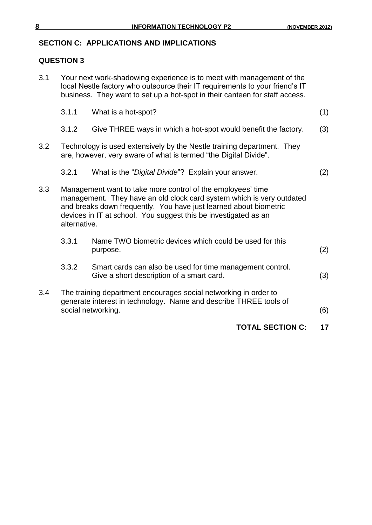# **SECTION C: APPLICATIONS AND IMPLICATIONS**

# **QUESTION 3**

|     |              | <b>TOTAL SECTION C:</b>                                                                                                                                                                                                                                                      | 17  |
|-----|--------------|------------------------------------------------------------------------------------------------------------------------------------------------------------------------------------------------------------------------------------------------------------------------------|-----|
| 3.4 |              | The training department encourages social networking in order to<br>generate interest in technology. Name and describe THREE tools of<br>social networking.                                                                                                                  | (6) |
|     | 3.3.2        | Smart cards can also be used for time management control.<br>Give a short description of a smart card.                                                                                                                                                                       | (3) |
|     | 3.3.1        | Name TWO biometric devices which could be used for this<br>purpose.                                                                                                                                                                                                          | (2) |
| 3.3 | alternative. | Management want to take more control of the employees' time<br>management. They have an old clock card system which is very outdated<br>and breaks down frequently. You have just learned about biometric<br>devices in IT at school. You suggest this be investigated as an |     |
|     | 3.2.1        | What is the "Digital Divide"? Explain your answer.                                                                                                                                                                                                                           | (2) |
| 3.2 |              | Technology is used extensively by the Nestle training department. They<br>are, however, very aware of what is termed "the Digital Divide".                                                                                                                                   |     |
|     | 3.1.2        | Give THREE ways in which a hot-spot would benefit the factory.                                                                                                                                                                                                               | (3) |
|     | 3.1.1        | What is a hot-spot?                                                                                                                                                                                                                                                          | (1) |
| 3.1 |              | Your next work-shadowing experience is to meet with management of the<br>local Nestle factory who outsource their IT requirements to your friend's IT<br>business. They want to set up a hot-spot in their canteen for staff access.                                         |     |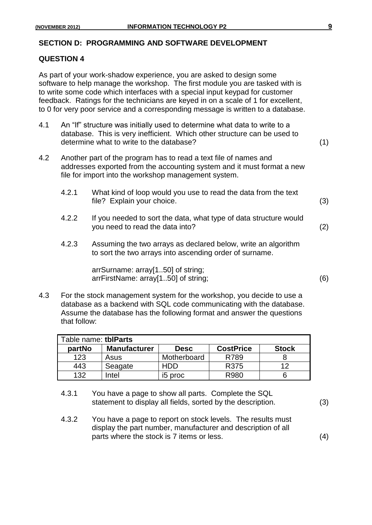#### **SECTION D: PROGRAMMING AND SOFTWARE DEVELOPMENT**

#### **QUESTION 4**

As part of your work-shadow experience, you are asked to design some software to help manage the workshop. The first module you are tasked with is to write some code which interfaces with a special input keypad for customer feedback. Ratings for the technicians are keyed in on a scale of 1 for excellent, to 0 for very poor service and a corresponding message is written to a database.

- 4.1 An "If" structure was initially used to determine what data to write to a database. This is very inefficient. Which other structure can be used to determine what to write to the database? (1)
- 4.2 Another part of the program has to read a text file of names and addresses exported from the accounting system and it must format a new file for import into the workshop management system.
	- 4.2.1 What kind of loop would you use to read the data from the text file? Explain your choice. (3)
	- 4.2.2 If you needed to sort the data, what type of data structure would you need to read the data into? (2)
	- 4.2.3 Assuming the two arrays as declared below, write an algorithm to sort the two arrays into ascending order of surname.

arrSurname: array[1..50] of string; arrFirstName: array[1..50] of string; (6)

4.3 For the stock management system for the workshop, you decide to use a database as a backend with SQL code communicating with the database. Assume the database has the following format and answer the questions that follow:

| Table name: tblParts |                     |                     |                  |              |
|----------------------|---------------------|---------------------|------------------|--------------|
| partNo               | <b>Manufacturer</b> | <b>Desc</b>         | <b>CostPrice</b> | <b>Stock</b> |
| 123                  | Asus                | Motherboard         | R789             |              |
| 443                  | Seagate             | HDD                 | R375             | イク           |
| 132                  | Intel               | i <sub>5</sub> proc | R980             |              |

- 4.3.1 You have a page to show all parts. Complete the SQL statement to display all fields, sorted by the description. (3)
- 4.3.2 You have a page to report on stock levels. The results must display the part number, manufacturer and description of all parts where the stock is 7 items or less. (4)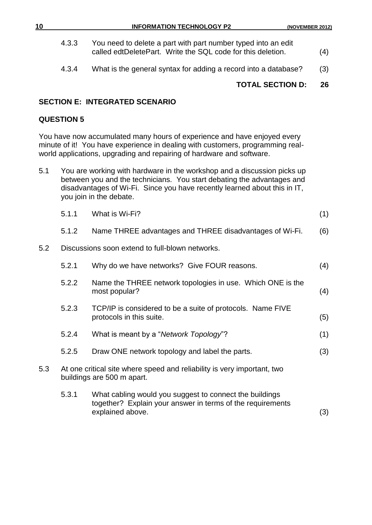| 10<br><b>INFORMATION TECHNOLOGY P2</b> | (NOVEMBER 2012) |
|----------------------------------------|-----------------|
|----------------------------------------|-----------------|

- 4.3.3 You need to delete a part with part number typed into an edit called edtDeletePart. Write the SQL code for this deletion. (4)
- 4.3.4 What is the general syntax for adding a record into a database? (3)

## **TOTAL SECTION D: 26**

#### **SECTION E: INTEGRATED SCENARIO**

#### **QUESTION 5**

You have now accumulated many hours of experience and have enjoyed every minute of it! You have experience in dealing with customers, programming realworld applications, upgrading and repairing of hardware and software.

5.1 You are working with hardware in the workshop and a discussion picks up between you and the technicians. You start debating the advantages and disadvantages of Wi-Fi. Since you have recently learned about this in IT, you join in the debate.

|     | 5.1.1 | What is Wi-Fi?                                                                                                        | (1) |
|-----|-------|-----------------------------------------------------------------------------------------------------------------------|-----|
|     | 5.1.2 | Name THREE advantages and THREE disadvantages of Wi-Fi.                                                               | (6) |
| 5.2 |       | Discussions soon extend to full-blown networks.                                                                       |     |
|     | 5.2.1 | Why do we have networks? Give FOUR reasons.                                                                           | (4) |
|     | 5.2.2 | Name the THREE network topologies in use. Which ONE is the<br>most popular?                                           | (4) |
|     | 5.2.3 | TCP/IP is considered to be a suite of protocols. Name FIVE<br>protocols in this suite.                                | (5) |
|     | 5.2.4 | What is meant by a "Network Topology"?                                                                                | (1) |
|     | 5.2.5 | Draw ONE network topology and label the parts.                                                                        | (3) |
| 5.3 |       | At one critical site where speed and reliability is very important, two<br>buildings are 500 m apart.                 |     |
|     | 5.3.1 | What cabling would you suggest to connect the buildings<br>together? Explain your answer in terms of the requirements |     |

explained above. (3)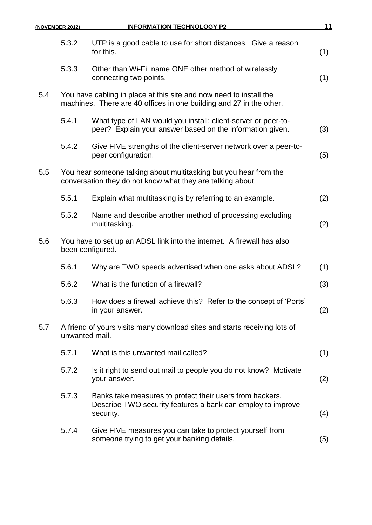|     | (NOVEMBER 2012) | <b>INFORMATION TECHNOLOGY P2</b>                                                                                                          | 11  |
|-----|-----------------|-------------------------------------------------------------------------------------------------------------------------------------------|-----|
|     | 5.3.2           | UTP is a good cable to use for short distances. Give a reason<br>for this.                                                                | (1) |
|     | 5.3.3           | Other than Wi-Fi, name ONE other method of wirelessly<br>connecting two points.                                                           | (1) |
| 5.4 |                 | You have cabling in place at this site and now need to install the<br>machines. There are 40 offices in one building and 27 in the other. |     |
|     | 5.4.1           | What type of LAN would you install; client-server or peer-to-<br>peer? Explain your answer based on the information given.                | (3) |
|     | 5.4.2           | Give FIVE strengths of the client-server network over a peer-to-<br>peer configuration.                                                   | (5) |
| 5.5 |                 | You hear someone talking about multitasking but you hear from the<br>conversation they do not know what they are talking about.           |     |
|     | 5.5.1           | Explain what multitasking is by referring to an example.                                                                                  | (2) |
|     | 5.5.2           | Name and describe another method of processing excluding<br>multitasking.                                                                 | (2) |
| 5.6 |                 | You have to set up an ADSL link into the internet. A firewall has also<br>been configured.                                                |     |
|     | 5.6.1           | Why are TWO speeds advertised when one asks about ADSL?                                                                                   | (1) |
|     | 5.6.2           | What is the function of a firewall?                                                                                                       | (3) |
|     | 5.6.3           | How does a firewall achieve this? Refer to the concept of 'Ports'<br>in your answer.                                                      | (2) |
| 5.7 | unwanted mail.  | A friend of yours visits many download sites and starts receiving lots of                                                                 |     |
|     | 5.7.1           | What is this unwanted mail called?                                                                                                        | (1) |
|     | 5.7.2           | Is it right to send out mail to people you do not know? Motivate<br>your answer.                                                          | (2) |
|     | 5.7.3           | Banks take measures to protect their users from hackers.<br>Describe TWO security features a bank can employ to improve<br>security.      | (4) |
|     | 5.7.4           | Give FIVE measures you can take to protect yourself from<br>someone trying to get your banking details.                                   | (5) |
|     |                 |                                                                                                                                           |     |